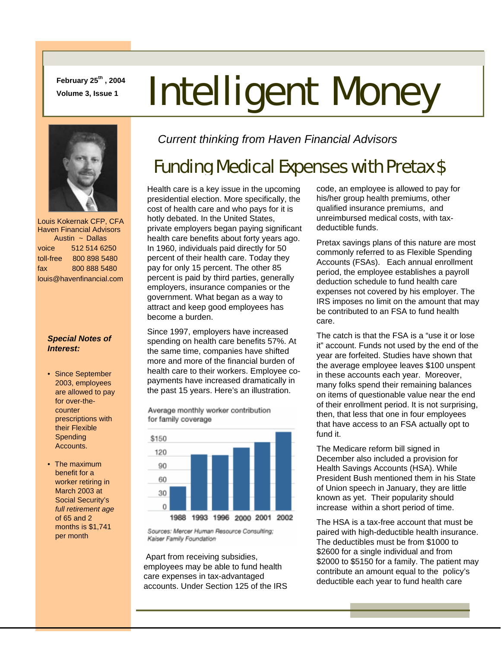**February 25th , 2004** 

# February 25<sup>th</sup>, 2004<br>Volume 3, Issue 1 **Intelligent Money**



 Louis Kokernak CFP, CFA Haven Financial Advisors Austin ~ Dallas voice 512 514 6250 toll-free 800 898 5480 fax 800 888 5480 louis@havenfinancial.com

#### *Special Notes of Interest:*

- Since September 2003, employees are allowed to pay for over-thecounter prescriptions with their Flexible **Spending** Accounts.
- The maximum benefit for a worker retiring in March 2003 at Social Security's *full retirement age* of 65 and 2 months is \$1,741 per month

*Current thinking from Haven Financial Advisors* 

# Funding Medical Expenses with Pretax \$

Health care is a key issue in the upcoming presidential election. More specifically, the cost of health care and who pays for it is hotly debated. In the United States, private employers began paying significant health care benefits about forty years ago. In 1960, individuals paid directly for 50 percent of their health care. Today they pay for only 15 percent. The other 85 percent is paid by third parties, generally employers, insurance companies or the government. What began as a way to attract and keep good employees has become a burden.

Since 1997, employers have increased spending on health care benefits 57%. At the same time, companies have shifted more and more of the financial burden of health care to their workers. Employee copayments have increased dramatically in the past 15 years. Here's an illustration.

Average monthly worker contribution for family coverage



Sources: Mercer Human Resource Consulting; Kaiser Family Foundation

 Apart from receiving subsidies, employees may be able to fund health care expenses in tax-advantaged accounts. Under Section 125 of the IRS code, an employee is allowed to pay for his/her group health premiums, other qualified insurance premiums, and unreimbursed medical costs, with taxdeductible funds.

Pretax savings plans of this nature are most commonly referred to as Flexible Spending Accounts (FSAs). Each annual enrollment period, the employee establishes a payroll deduction schedule to fund health care expenses not covered by his employer. The IRS imposes no limit on the amount that may be contributed to an FSA to fund health care.

The catch is that the FSA is a "use it or lose it" account. Funds not used by the end of the year are forfeited. Studies have shown that the average employee leaves \$100 unspent in these accounts each year. Moreover, many folks spend their remaining balances on items of questionable value near the end of their enrollment period. It is not surprising, then, that less that one in four employees that have access to an FSA actually opt to fund it.

The Medicare reform bill signed in December also included a provision for Health Savings Accounts (HSA). While President Bush mentioned them in his State of Union speech in January, they are little known as yet. Their popularity should increase within a short period of time.

The HSA is a tax-free account that must be paired with high-deductible health insurance. The deductibles must be from \$1000 to \$2600 for a single individual and from \$2000 to \$5150 for a family. The patient may contribute an amount equal to the policy's deductible each year to fund health care